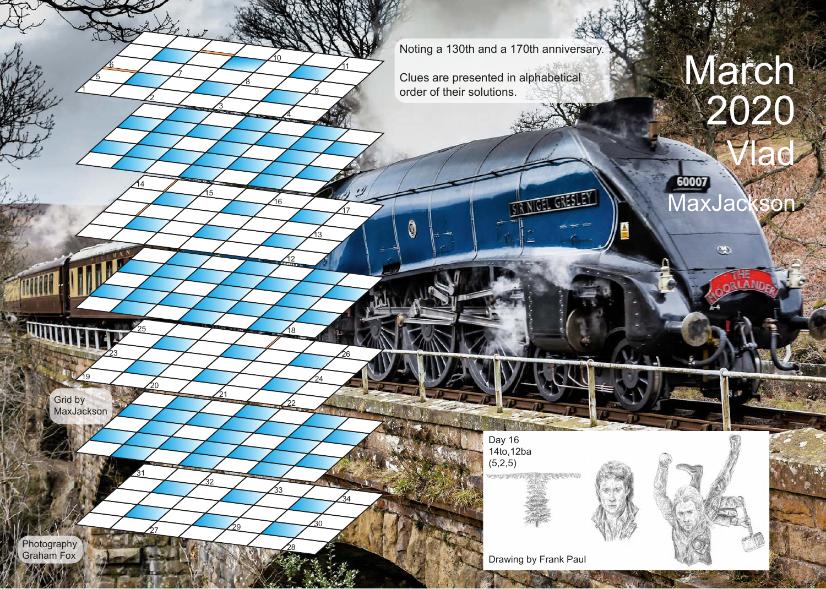Noting a 130th and a 170th anniversary.

**TOEL GRESLEY** 

Clues are presented in alphabetical order of their solutions.

## March 2020 lad. 60007

MaxJackson

THE RANDER

 $\circledast$ 

Grid by **MaxJackson** 

 $\overline{19}$ 

23

21

<u>15</u>

3

8

7

32

 $\frac{27}{27}$   $\frac{29}{2}$ 

20

25

<u>14</u>

2

 $\overline{6}$ 

5

1

31

22

18

12

16

4

<u>10</u>

33

28

26

17

ê

11

34

24

<u> 13</u>

9

30



RECEIVER PERSON

Day 16 14to,12ba  $(5,2,5)$ 

WENNESDAY